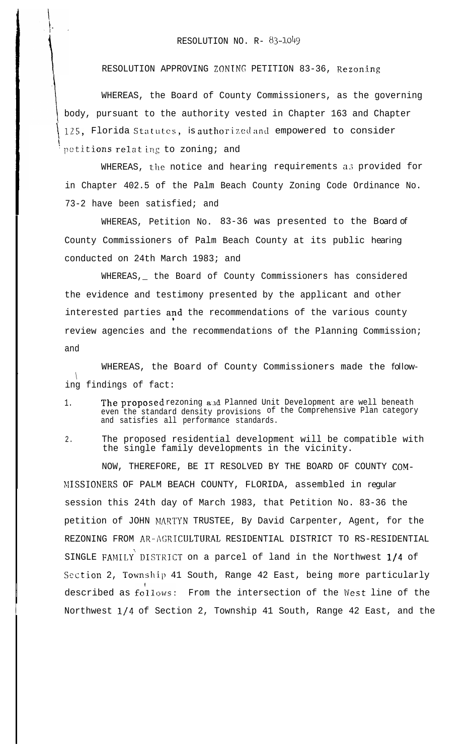RESOLUTION APPROVING ZONING PETITION 83-36, Rezoning

WHEREAS, the Board of County Commissioners, as the governing body, pursuant to the authority vested in Chapter 163 and Chapter 125, Florida Statutes, is authorized and empowered to consider petitions relating to zoning; and

WHEREAS, the notice and hearing requirements as provided for in Chapter 402.5 of the Palm Beach County Zoning Code Ordinance No. 73-2 have been satisfied; and

WHEREAS, Petition No. 83-36 was presented to the Board of County Commissioners of Palm Beach County at its public hearing conducted on 24th March 1983; and

WHEREAS,\_ the Board of County Commissioners has considered the evidence and testimony presented by the applicant and other interested parties and the recommendations of the various county review agencies and the recommendations of the Planning Commission; and

WHEREAS, the Board of County Commissioners made the follow-  $\mathcal{L}$ ing findings of fact:

,

- 1. The proposed rezoning and Planned Unit Development are well beneath even the standard density provisions of the Comprehensive Plan category and satisfies all performance standards.
- 2. The proposed residential development will be compatible with the single family developments in the vicinity.

NOW, THEREFORE, BE IT RESOLVED BY THE BOARD OF COUNTY COM- >fISSIONERS OF PALM BEACH COUNTY, FLORIDA, assembled in regular session this 24th day of March 1983, that Petition No. 83-36 the petition of JOHN MARTYN TRUSTEE, By David Carpenter, Agent, for the REZONING FROM AR-AGRICULTURAL RESIDENTIAL DISTRICT TO RS-RESIDENTIAL SINGLE FAMILY'DISTKTCT on a parcel of land in the Northwest l/4 of Section 2, Township 41 South, Range 42 East, being more particularly described as follows: From the intersection of the West line of the Northwest l/4 of Section 2, Township 41 South, Range 42 East, and the